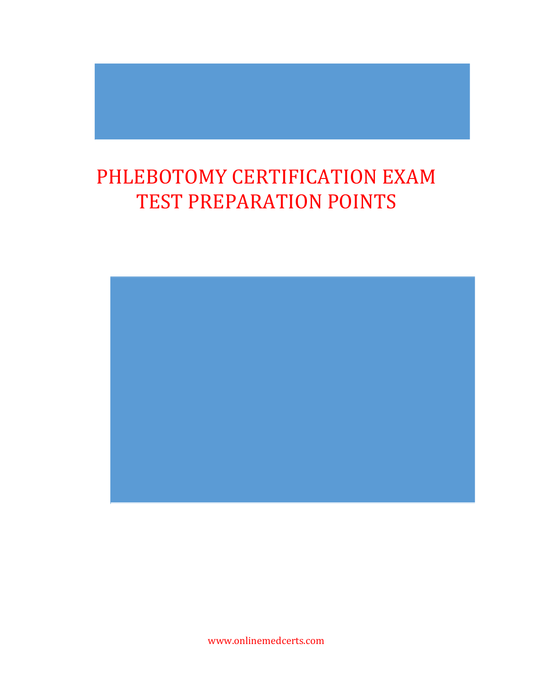## PHLEBOTOMY CERTIFICATION EXAM TEST PREPARATION POINTS



www.onlinemedcerts.com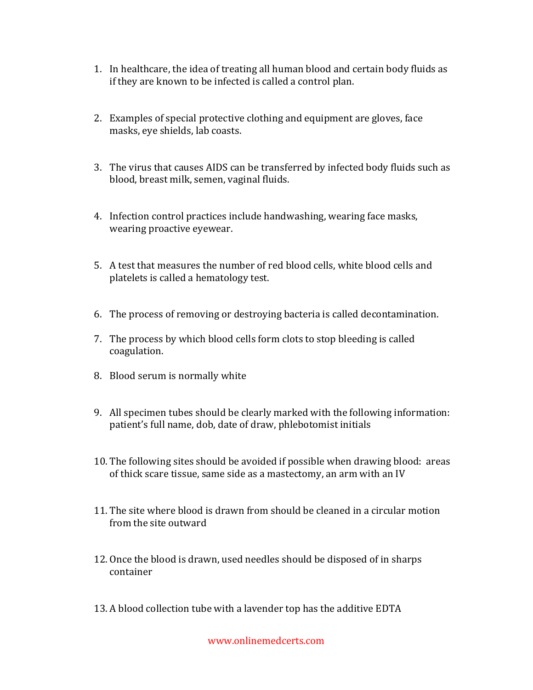- 1. In healthcare, the idea of treating all human blood and certain body fluids as if they are known to be infected is called a control plan.
- 2. Examples of special protective clothing and equipment are gloves, face masks, eye shields, lab coasts.
- 3. The virus that causes AIDS can be transferred by infected body fluids such as blood, breast milk, semen, vaginal fluids.
- 4. Infection control practices include handwashing, wearing face masks, wearing proactive eyewear.
- 5. A test that measures the number of red blood cells, white blood cells and platelets is called a hematology test.
- 6. The process of removing or destroying bacteria is called decontamination.
- 7. The process by which blood cells form clots to stop bleeding is called coagulation.
- 8. Blood serum is normally white
- 9. All specimen tubes should be clearly marked with the following information: patient's full name, dob, date of draw, phlebotomist initials
- 10. The following sites should be avoided if possible when drawing blood: areas of thick scare tissue, same side as a mastectomy, an arm with an IV
- 11. The site where blood is drawn from should be cleaned in a circular motion from the site outward
- 12. Once the blood is drawn, used needles should be disposed of in sharps container
- 13. A blood collection tube with a lavender top has the additive EDTA

www.onlinemedcerts.com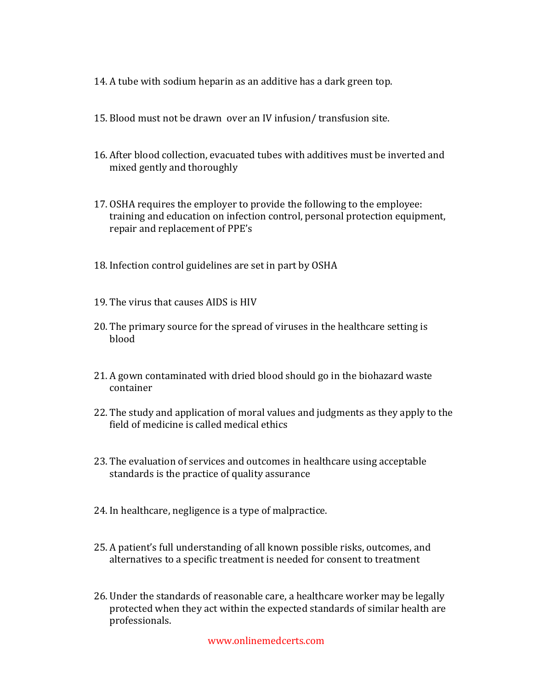- 14. A tube with sodium heparin as an additive has a dark green top.
- 15. Blood must not be drawn over an IV infusion/ transfusion site.
- 16. After blood collection, evacuated tubes with additives must be inverted and mixed gently and thoroughly
- 17. OSHA requires the employer to provide the following to the employee: training and education on infection control, personal protection equipment, repair and replacement of PPE's
- 18. Infection control guidelines are set in part by OSHA
- 19. The virus that causes AIDS is HIV
- 20. The primary source for the spread of viruses in the healthcare setting is blood
- 21. A gown contaminated with dried blood should go in the biohazard waste container
- 22. The study and application of moral values and judgments as they apply to the field of medicine is called medical ethics
- 23. The evaluation of services and outcomes in healthcare using acceptable standards is the practice of quality assurance
- 24. In healthcare, negligence is a type of malpractice.
- 25. A patient's full understanding of all known possible risks, outcomes, and alternatives to a specific treatment is needed for consent to treatment
- 26. Under the standards of reasonable care, a healthcare worker may be legally protected when they act within the expected standards of similar health are professionals.

www.onlinemedcerts.com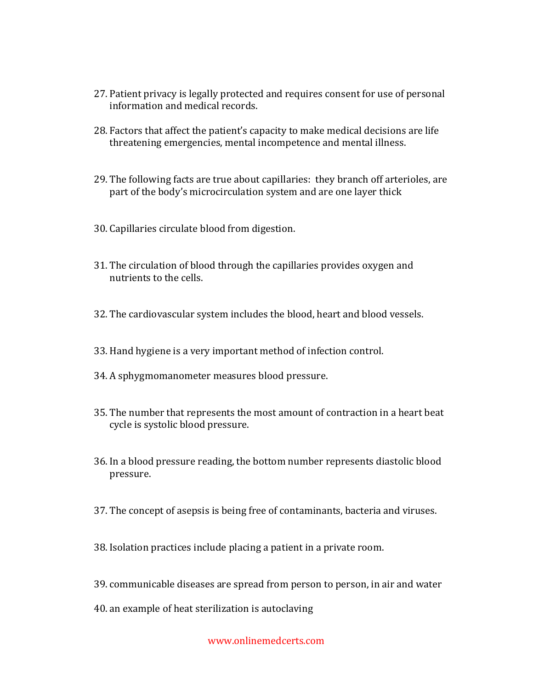- 27. Patient privacy is legally protected and requires consent for use of personal information and medical records.
- 28. Factors that affect the patient's capacity to make medical decisions are life threatening emergencies, mental incompetence and mental illness.
- 29. The following facts are true about capillaries: they branch off arterioles, are part of the body's microcirculation system and are one layer thick
- 30. Capillaries circulate blood from digestion.
- 31. The circulation of blood through the capillaries provides oxygen and nutrients to the cells.
- 32. The cardiovascular system includes the blood, heart and blood vessels.
- 33. Hand hygiene is a very important method of infection control.
- 34. A sphygmomanometer measures blood pressure.
- 35. The number that represents the most amount of contraction in a heart beat cycle is systolic blood pressure.
- 36. In a blood pressure reading, the bottom number represents diastolic blood pressure.
- 37. The concept of asepsis is being free of contaminants, bacteria and viruses.
- 38. Isolation practices include placing a patient in a private room.
- 39. communicable diseases are spread from person to person, in air and water
- 40. an example of heat sterilization is autoclaving